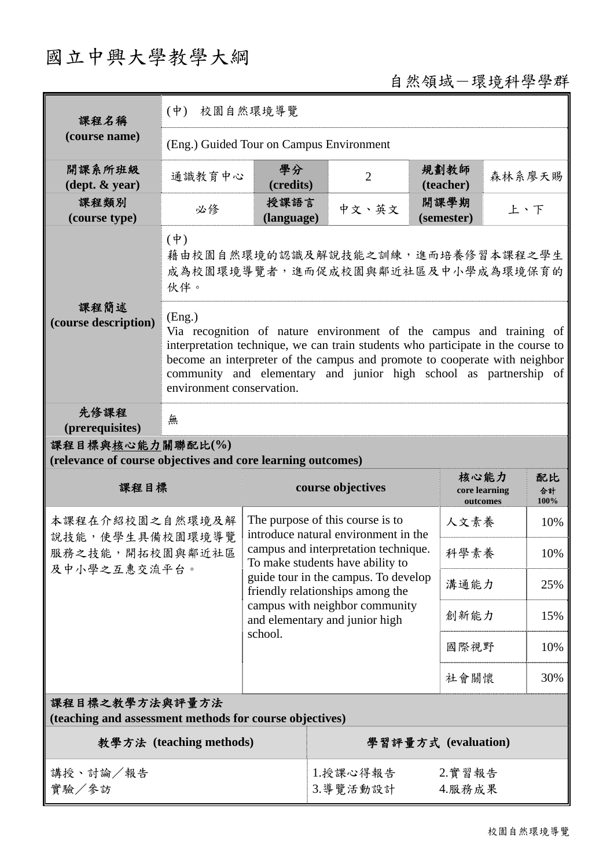# 國立中興大學教學大綱

## 自然領域-環境科學學群

| 課程名稱                                                                            | $(\dot{\Psi})$<br>校園自然環境導覽                                                                 |                                                                                                                                                                                                                                                                                                            |                                                                          |                                                                  |      |                                   |        |                  |  |
|---------------------------------------------------------------------------------|--------------------------------------------------------------------------------------------|------------------------------------------------------------------------------------------------------------------------------------------------------------------------------------------------------------------------------------------------------------------------------------------------------------|--------------------------------------------------------------------------|------------------------------------------------------------------|------|-----------------------------------|--------|------------------|--|
| (course name)                                                                   | (Eng.) Guided Tour on Campus Environment                                                   |                                                                                                                                                                                                                                                                                                            |                                                                          |                                                                  |      |                                   |        |                  |  |
| 開課系所班級<br>$(\text{dept.} \& \text{ year})$                                      | 通識教育中心                                                                                     | 學分<br>(credits)                                                                                                                                                                                                                                                                                            |                                                                          | $\overline{2}$                                                   |      | 規劃教師<br>(teacher)                 | 森林系廖天賜 |                  |  |
| 課程類別<br>(course type)                                                           | 必修                                                                                         | 授課語言<br>(language)                                                                                                                                                                                                                                                                                         |                                                                          | 中文、英文                                                            |      | 開課學期<br>上、下<br>(semester)         |        |                  |  |
|                                                                                 | $(\dagger)$<br>藉由校園自然環境的認識及解說技能之訓練,進而培養修習本課程之學生<br>成為校園環境導覽者,進而促成校園與鄰近社區及中小學成為環境保育的<br>伙伴。 |                                                                                                                                                                                                                                                                                                            |                                                                          |                                                                  |      |                                   |        |                  |  |
| 課程簡述<br>(course description)                                                    | (Eng.)<br>environment conservation.                                                        | Via recognition of nature environment of the campus and training of<br>interpretation technique, we can train students who participate in the course to<br>become an interpreter of the campus and promote to cooperate with neighbor<br>community and elementary and junior high school as partnership of |                                                                          |                                                                  |      |                                   |        |                  |  |
| 先修課程<br>(prerequisites)                                                         | 無                                                                                          |                                                                                                                                                                                                                                                                                                            |                                                                          |                                                                  |      |                                   |        |                  |  |
| 課程目標與核心能力關聯配比(%)<br>(relevance of course objectives and core learning outcomes) |                                                                                            |                                                                                                                                                                                                                                                                                                            |                                                                          |                                                                  |      |                                   |        |                  |  |
| 課程目標                                                                            |                                                                                            | course objectives                                                                                                                                                                                                                                                                                          |                                                                          |                                                                  |      | 核心能力<br>core learning<br>outcomes |        | 配比<br>合計<br>100% |  |
| 本課程在介紹校園之自然環境及解<br>說技能,使學生具備校園環境導覽<br>服務之技能,開拓校園與鄰近社區<br>及中小學之互惠交流平台。           |                                                                                            | The purpose of this course is to<br>introduce natural environment in the<br>campus and interpretation technique.<br>To make students have ability to                                                                                                                                                       |                                                                          |                                                                  | 人文素養 |                                   | 10%    |                  |  |
|                                                                                 |                                                                                            |                                                                                                                                                                                                                                                                                                            |                                                                          |                                                                  | 科學素養 |                                   | 10%    |                  |  |
|                                                                                 |                                                                                            |                                                                                                                                                                                                                                                                                                            | guide tour in the campus. To develop<br>friendly relationships among the |                                                                  | 溝通能力 |                                   | 25%    |                  |  |
|                                                                                 |                                                                                            |                                                                                                                                                                                                                                                                                                            |                                                                          | campus with neighbor community<br>and elementary and junior high |      | 創新能力                              |        | 15%              |  |
|                                                                                 |                                                                                            | school.                                                                                                                                                                                                                                                                                                    |                                                                          |                                                                  | 國際視野 |                                   | 10%    |                  |  |
|                                                                                 |                                                                                            |                                                                                                                                                                                                                                                                                                            |                                                                          |                                                                  |      | 社會關懷                              |        | 30%              |  |
| 課程目標之教學方法與評量方法<br>(teaching and assessment methods for course objectives)       |                                                                                            |                                                                                                                                                                                                                                                                                                            |                                                                          |                                                                  |      |                                   |        |                  |  |
| 教學方法 (teaching methods)                                                         |                                                                                            |                                                                                                                                                                                                                                                                                                            |                                                                          | 學習評量方式 (evaluation)                                              |      |                                   |        |                  |  |
| 講授、討論/報告<br>實驗/參訪                                                               |                                                                                            |                                                                                                                                                                                                                                                                                                            | 2.實習報告<br>1.授課心得報告<br>3. 導覽活動設計<br>4.服務成果                                |                                                                  |      |                                   |        |                  |  |